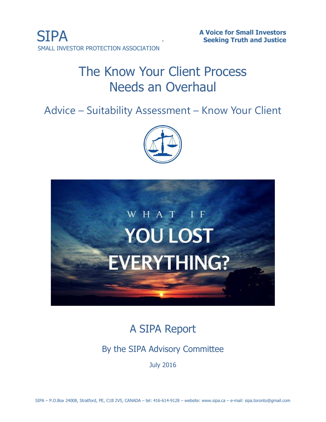# The Know Your Client Process Needs an Overhaul

Advice – Suitability Assessment – Know Your Client





A SIPA Report

By the SIPA Advisory Committee

July 2016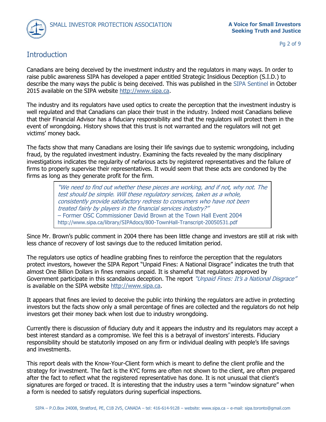

#### Pg 2 of 9

## **Introduction**

Canadians are being deceived by the investment industry and the regulators in many ways. In order to raise public awareness SIPA has developed a paper entitled Strategic Insidious Deception (S.I.D.) to describe the many ways the public is being deceived. This was published in the SIPA Sentinel in October 2015 available on the SIPA website [http://www.sipa.ca.](http://www.sipa.ca/)

The industry and its regulators have used optics to create the perception that the investment industry is well regulated and that Canadians can place their trust in the industry. Indeed most Canadians believe that their Financial Advisor has a fiduciary responsibility and that the regulators will protect them in the event of wrongdoing. History shows that this trust is not warranted and the regulators will not get victims' money back.

The facts show that many Canadians are losing their life savings due to systemic wrongdoing, including fraud, by the regulated investment industry. Examining the facts revealed by the many disciplinary investigations indicates the regularity of nefarious acts by registered representatives and the failure of firms to properly supervise their representatives. It would seem that these acts are condoned by the firms as long as they generate profit for the firm.

> "We need to find out whether these pieces are working, and if not, why not. The test should be simple. Will these regulatory services, taken as a whole, consistently provide satisfactory redress to consumers who have not been treated fairly by players in the financial services industry?" – Former OSC Commissioner David Brown at the Town Hall Event 2004 http://www.sipa.ca/library/SIPAdocs/800-TownHall-Transcript-20050531.pdf

Since Mr. Brown's public comment in 2004 there has been little change and investors are still at risk with less chance of recovery of lost savings due to the reduced limitation period.

The regulators use optics of headline grabbing fines to reinforce the perception that the regulators protect investors, however the SIPA Report "Unpaid Fines: A National Disgrace" indicates the truth that almost One Billion Dollars in fines remains unpaid. It is shameful that regulators approved by Government participate in this scandalous deception. The report "Unpaid Fines: It's a National Disgrace" is available on the SIPA website [http://www.sipa.ca.](http://www.sipa.ca/)

It appears that fines are levied to deceive the public into thinking the regulators are active in protecting investors but the facts show only a small percentage of fines are collected and the regulators do not help investors get their money back when lost due to industry wrongdoing.

Currently there is discussion of fiduciary duty and it appears the industry and its regulators may accept a best interest standard as a compromise. We feel this is a betrayal of investors' interests. Fiduciary responsibility should be statutorily imposed on any firm or individual dealing with people's life savings and investments.

This report deals with the Know-Your-Client form which is meant to define the client profile and the strategy for investment. The fact is the KYC forms are often not shown to the client, are often prepared after the fact to reflect what the registered representative has done. It is not unusual that client's signatures are forged or traced. It is interesting that the industry uses a term "window signature" when a form is needed to satisfy regulators during superficial inspections.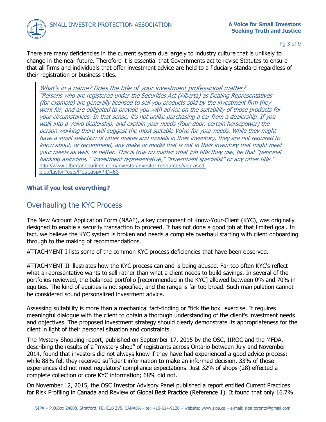

Pg 3 of 9

There are many deficiencies in the current system due largely to industry culture that is unlikely to change in the near future. Therefore it is essential that Governments act to revise Statutes to ensure that all firms and individuals that offer investment advice are held to a fiduciary standard regardless of their registration or business titles.

[What's in a name? Does the title of your investment profes](http://www.albertasecurities.com/investor/investor-resources/you-ascd-blog/Lists/Posts/Post.aspx?ID=63)sional matter? "Persons who are registered under the Securities Act (Alberta) as Dealing Representatives (for example) are generally licensed to sell you products sold by the investment firm they work for, and are obligated to provide you with advice on the suitability of those products for your circumstances. In that sense, it's not unlike purchasing a car from a dealership. If you walk into a Volvo dealership, and explain your needs (four-door, certain horsepower) the person working there will suggest the most suitable Volvo for your needs. While they might have a small selection of other makes and models in their inventory, they are not required to know about, or recommend, any make or model that is not in their inventory that might meet your needs as well, or better. This is true no matter what job title they use, be that "personal banking associate," "investment representative," "investment specialist" or any other title." [http://www.albertasecurities.com/investor/investor-resources/you-ascd](http://www.albertasecurities.com/investor/investor-resources/you-ascd-blog/Lists/Posts/Post.aspx?ID=63)[blog/Lists/Posts/Post.aspx?ID=63](http://www.albertasecurities.com/investor/investor-resources/you-ascd-blog/Lists/Posts/Post.aspx?ID=63)

### **What if you lost everything?**

## Overhauling the KYC Process

The New Account Application Form (NAAF), a key component of Know-Your-Client (KYC), was originally designed to enable a security transaction to proceed. It has not done a good job at that limited goal. In fact, we believe the KYC system is broken and needs a complete overhaul starting with client onboarding through to the making of recommendations.

ATTACHMENT I lists some of the common KYC process deficiencies that have been observed.

ATTACHMENT II illustrates how the KYC process can and is being abused. Far too often KYC's reflect what a representative wants to sell rather than what a client needs to build savings. In several of the portfolios reviewed, the balanced portfolio [recommended in the KYC] allowed between 0% and 70% in equities. The kind of equities is not specified, and the range is far too broad. Such manipulation cannot be considered sound personalized investment advice.

Assessing suitability is more than a mechanical fact-finding or "tick the box" exercise. It requires meaningful dialogue with the client to obtain a thorough understanding of the client's investment needs and objectives. The proposed investment strategy should clearly demonstrate its appropriateness for the client in light of their personal situation and constraints.

The Mystery Shopping report, published on September 17, 2015 by the OSC, IIROC and the MFDA, describing the results of a "mystery shop" of registrants across Ontario between July and November 2014, found that investors did not always know if they have had experienced a good advice process: while 88% felt they received sufficient information to make an informed decision, 33% of those experiences did not meet regulators' compliance expectations. Just 32% of shops (28) effected a complete collection of core KYC information; 68% did not.

On November 12, 2015, the OSC Investor Advisory Panel published a report entitled Current Practices for Risk Profiling in Canada and Review of Global Best Practice (Reference 1). It found that only 16.7%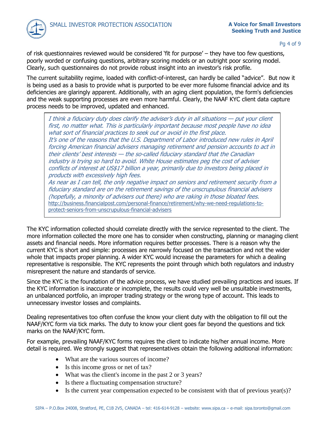

of risk questionnaires reviewed would be considered 'fit for purpose' – they have too few questions, poorly worded or confusing questions, arbitrary scoring models or an outright poor scoring model. Clearly, such questionnaires do not provide robust insight into an investor's risk profile.

The current suitability regime, loaded with conflict-of-interest, can hardly be called "advice". But now it is being used as a basis to provide what is purported to be ever more fulsome financial advice and its deficiencies are glaringly apparent. Additionally, with an aging client population, the form's deficiencies and the weak supporting processes are even more harmful. Clearly, the NAAF KYC client data capture process needs to be improved, updated and enhanced.

I think a fiduciary duty does clarify the adviser's duty in all situations — put your client first, no matter what. This is particularly important because most people have no idea what sort of financial practices to seek out or avoid in the first place. It's one of the reasons that the U.S. Department of Labor introduced new rules in April forcing American financial advisers managing retirement and pension accounts to act in their clients' best interests — the so-called fiduciary standard that the Canadian industry is trying so hard to avoid. White House estimates peg the cost of adviser conflicts of interest at US\$17 billion a year, primarily due to investors being placed in products with excessively high fees. As near as I can tell, the only negative impact on seniors and retirement security from a fiduciary standard are on the retirement savings of the unscrupulous financial advisers (hopefully, a minority of advisers out there) who are raking in those bloated fees.

[http://business.financialpost.com/personal-finance/retirement/why-we-need-regulations-to](http://business.financialpost.com/personal-finance/retirement/why-we-need-regulations-to-protect-seniors-from-unscrupulous-financial-advisers)[protect-seniors-from-unscrupulous-financial-advisers](http://business.financialpost.com/personal-finance/retirement/why-we-need-regulations-to-protect-seniors-from-unscrupulous-financial-advisers)

The KYC information collected should correlate directly with the service represented to the client. The more information collected the more one has to consider when constructing, planning or managing client assets and financial needs. More information requires better processes. There is a reason why the current KYC is short and simple: processes are narrowly focused on the transaction and not the wider whole that impacts proper planning. A wider KYC would increase the parameters for which a dealing representative is responsible. The KYC represents the point through which both regulators and industry misrepresent the nature and standards of service.

Since the KYC is the foundation of the advice process, we have studied prevailing practices and issues. If the KYC information is inaccurate or incomplete, the results could very well be unsuitable investments, an unbalanced portfolio, an improper trading strategy or the wrong type of account. This leads to unnecessary investor losses and complaints.

Dealing representatives too often confuse the know your client duty with the obligation to fill out the NAAF/KYC form via tick marks. The duty to know your client goes far beyond the questions and tick marks on the NAAF/KYC form.

For example, prevailing NAAF/KYC forms requires the client to indicate his/her annual income. More detail is required. We strongly suggest that representatives obtain the following additional information:

- What are the various sources of income?
- Is this income gross or net of tax?
- What was the client's income in the past 2 or 3 years?
- Is there a fluctuating compensation structure?
- Is the current year compensation expected to be consistent with that of previous year(s)?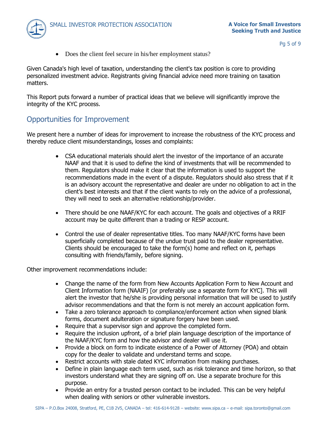

• Does the client feel secure in his/her employment status?

Given Canada's high level of taxation, understanding the client's tax position is core to providing personalized investment advice. Registrants giving financial advice need more training on taxation matters.

This Report puts forward a number of practical ideas that we believe will significantly improve the integrity of the KYC process.

## Opportunities for Improvement

We present here a number of ideas for improvement to increase the robustness of the KYC process and thereby reduce client misunderstandings, losses and complaints:

- CSA educational materials should alert the investor of the importance of an accurate NAAF and that it is used to define the kind of investments that will be recommended to them. Regulators should make it clear that the information is used to support the recommendations made in the event of a dispute. Regulators should also stress that if it is an advisory account the representative and dealer are under no obligation to act in the client's best interests and that if the client wants to rely on the advice of a professional, they will need to seek an alternative relationship/provider.
- There should be one NAAF/KYC for each account. The goals and objectives of a RRIF account may be quite different than a trading or RESP account.
- Control the use of dealer representative titles. Too many NAAF/KYC forms have been superficially completed because of the undue trust paid to the dealer representative. Clients should be encouraged to take the form(s) home and reflect on it, perhaps consulting with friends/family, before signing.

Other improvement recommendations include:

- Change the name of the form from New Accounts Application Form to New Account and Client Information form (NAAIF) [or preferably use a separate form for KYC]. This will alert the investor that he/she is providing personal information that will be used to justify advisor recommendations and that the form is not merely an account application form.
- Take a zero tolerance approach to compliance/enforcement action when signed blank forms, document adulteration or signature forgery have been used.
- Require that a supervisor sign and approve the completed form.
- Require the inclusion upfront, of a brief plain language description of the importance of the NAAF/KYC form and how the advisor and dealer will use it.
- Provide a block on form to indicate existence of a Power of Attorney (POA) and obtain copy for the dealer to validate and understand terms and scope.
- Restrict accounts with stale dated KYC information from making purchases.
- Define in plain language each term used, such as risk tolerance and time horizon, so that investors understand what they are signing off on. Use a separate brochure for this purpose.
- Provide an entry for a trusted person contact to be included. This can be very helpful when dealing with seniors or other vulnerable investors.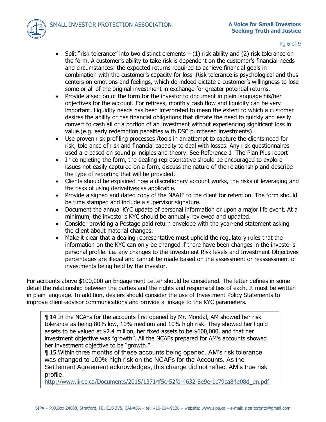

- Split "risk tolerance" into two distinct elements  $(1)$  risk ability and  $(2)$  risk tolerance on the form. A customer's ability to take risk is dependent on the customer's financial needs and circumstances: the expected returns required to achieve financial goals in combination with the customer's capacity for loss .Risk tolerance is psychological and thus centers on emotions and feelings, which do indeed dictate a customer's willingness to lose some or all of the original investment in exchange for greater potential returns.
- Provide a section of the form for the investor to document in plain language his/her objectives for the account. For retirees, monthly cash flow and liquidity can be very important. Liquidity needs has been interpreted to mean the extent to which a customer desires the ability or has financial obligations that dictate the need to quickly and easily convert to cash all or a portion of an investment without experiencing significant loss in value.(e.g. early redemption penalties with DSC purchased investments)
- Use proven risk profiling processes /tools in an attempt to capture the clients need for risk, tolerance of risk and financial capacity to deal with losses. Any risk questionnaires used are based on sound principles and theory. See Reference 1 The Plan Plus report
- In completing the form, the dealing representative should be encouraged to explore issues not easily captured on a form, discuss the nature of the relationship and describe the type of reporting that will be provided.
- Clients should be explained how a discretionary account works, the risks of leveraging and the risks of using derivatives as applicable.
- Provide a signed and dated copy of the NAAIF to the client for retention. The form should be time stamped and include a supervisor signature.
- Document the annual KYC update of personal information or upon a major life event. At a minimum, the investor's KYC should be annually reviewed and updated.
- Consider providing a Postage paid return envelope with the year-end statement asking the client about material changes.
- Make it clear that a dealing representative must uphold the regulatory rules that the information on the KYC can only be changed if there have been changes in the investor's personal profile. i.e. any changes to the Investment Risk levels and Investment Objectives percentages are illegal and cannot be made based on the assessment or reassessment of investments being held by the investor.

For accounts above \$100,000 an Engagement Letter should be considered. The letter defines in some detail the relationship between the parties and the rights and responsibilities of each. It must be written in plain language. In addition, dealers should consider the use of Investment Policy Statements to improve client-advisor communications and provide a linkage to the KYC parameters.

¶ 14 In the NCAFs for the accounts first opened by Mr. Mondal, AM showed her risk tolerance as being 80% low, 10% medium and 10% high risk. They showed her liquid assets to be valued at \$2.4 million, her fixed assets to be \$600,000, and that her investment objective was "growth". All the NCAFs prepared for AM's accounts showed her investment objective to be "growth."

¶ 15 Within three months of these accounts being opened, AM's risk tolerance was changed to 100% high risk on the NCAFs for the Accounts. As the Settlement Agreement acknowledges, this change did not reflect AM's true risk profile.

[http://www.iiroc.ca/Documents/2015/13714f5c-52fd-4632-8e9e-1c79ca84e08d\\_en.pdf](http://www.iiroc.ca/Documents/2015/13714f5c-52fd-4632-8e9e-1c79ca84e08d_en.pdf)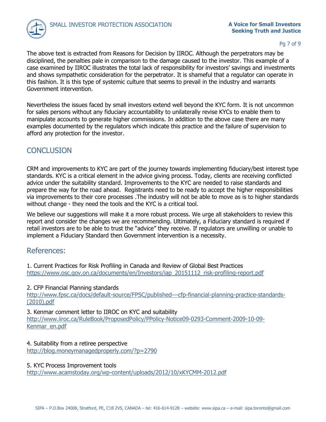

#### Pg 7 of 9

The above text is extracted from Reasons for Decision by IIROC. Although the perpetrators may be disciplined, the penalties pale in comparison to the damage caused to the investor. This example of a case examined by IIROC illustrates the total lack of responsibility for investors' savings and investments and shows sympathetic consideration for the perpetrator. It is shameful that a regulator can operate in this fashion. It is this type of systemic culture that seems to prevail in the industry and warrants Government intervention.

Nevertheless the issues faced by small investors extend well beyond the KYC form. It is not uncommon for sales persons without any fiduciary accountability to unilaterally revise KYCs to enable them to manipulate accounts to generate higher commissions. In addition to the above case there are many examples documented by the regulators which indicate this practice and the failure of supervision to afford any protection for the investor.

## **CONCLUSION**

CRM and improvements to KYC are part of the journey towards implementing fiduciary/best interest type standards. KYC is a critical element in the advice giving process. Today, clients are receiving conflicted advice under the suitability standard. Improvements to the KYC are needed to raise standards and prepare the way for the road ahead. Registrants need to be ready to accept the higher responsibilities via improvements to their core processes .The industry will not be able to move as is to higher standards without change - they need the tools and the KYC is a critical tool.

We believe our suggestions will make it a more robust process. We urge all stakeholders to review this report and consider the changes we are recommending. Ultimately, a Fiduciary standard is required if retail investors are to be able to trust the "advice" they receive. If regulators are unwilling or unable to implement a Fiduciary Standard then Government intervention is a necessity.

## References:

1. Current Practices for Risk Profiling in Canada and Review of Global Best Practices https://www.osc.gov.on.ca/documents/en/Investors/iap\_20151112\_risk-profiling-report.pdf

### 2. CFP Financial Planning standards

[http://www.fpsc.ca/docs/default-source/FPSC/published---cfp-financial-planning-practice-standards-](http://www.fpsc.ca/docs/default-source/FPSC/published---cfp-financial-planning-practice-standards-(2010).pdf) [\(2010\).pdf](http://www.fpsc.ca/docs/default-source/FPSC/published---cfp-financial-planning-practice-standards-(2010).pdf)

3. Kenmar comment letter to IIROC on KYC and suitability [http://www.iiroc.ca/RuleBook/ProposedPolicy/PPolicy-Notice09-0293-Comment-2009-10-09-](http://www.iiroc.ca/RuleBook/ProposedPolicy/PPolicy-Notice09-0293-Comment-2009-10-09-Kenmar_en.pdf) [Kenmar\\_en.pdf](http://www.iiroc.ca/RuleBook/ProposedPolicy/PPolicy-Notice09-0293-Comment-2009-10-09-Kenmar_en.pdf)

### 4. Suitability from a retiree perspective

<http://blog.moneymanagedproperly.com/?p=2790>

### 5. KYC Process Improvement tools

<http://www.acamstoday.org/wp-content/uploads/2012/10/xKYCMM-2012.pdf>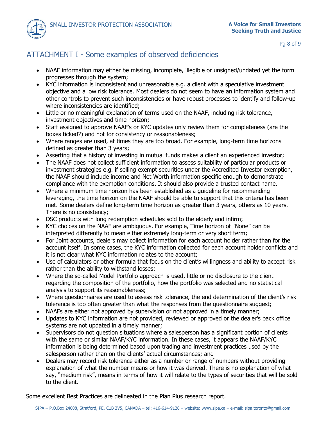

# ATTACHMENT I - Some examples of observed deficiencies

- NAAF information may either be missing, incomplete, illegible or unsigned/undated yet the form progresses through the system;
- KYC information is inconsistent and unreasonable e.g. a client with a speculative investment objective and a low risk tolerance. Most dealers do not seem to have an information system and other controls to prevent such inconsistencies or have robust processes to identify and follow-up where inconsistencies are identified;
- Little or no meaningful explanation of terms used on the NAAF, including risk tolerance, investment objectives and time horizon;
- Staff assigned to approve NAAF's or KYC updates only review them for completeness (are the boxes ticked?) and not for consistency or reasonableness;
- Where ranges are used, at times they are too broad. For example, long-term time horizons defined as greater than 3 years;
- Asserting that a history of investing in mutual funds makes a client an experienced investor;
- The NAAF does not collect sufficient information to assess suitability of particular products or investment strategies e.g. if selling exempt securities under the Accredited Investor exemption, the NAAF should include income and Net Worth information specific enough to demonstrate compliance with the exemption conditions. It should also provide a trusted contact name.
- Where a minimum time horizon has been established as a guideline for recommending leveraging, the time horizon on the NAAF should be able to support that this criteria has been met. Some dealers define long-term time horizon as greater than 3 years, others as 10 years. There is no consistency;
- DSC products with long redemption schedules sold to the elderly and infirm;
- KYC choices on the NAAF are ambiguous. For example, Time horizon of "None" can be interpreted differently to mean either extremely long-term or very short term;
- For Joint accounts, dealers may collect information for each account holder rather than for the account itself. In some cases, the KYC information collected for each account holder conflicts and it is not clear what KYC information relates to the account;
- Use of calculators or other formula that focus on the client's willingness and ability to accept risk rather than the ability to withstand losses;
- Where the so-called Model Portfolio approach is used, little or no disclosure to the client regarding the composition of the portfolio, how the portfolio was selected and no statistical analysis to support its reasonableness;
- Where questionnaires are used to assess risk tolerance, the end determination of the client's risk tolerance is too often greater than what the responses from the questionnaire suggest;
- NAAFs are either not approved by supervision or not approved in a timely manner;
- Updates to KYC information are not provided, reviewed or approved or the dealer's back office systems are not updated in a timely manner;
- Supervisors do not question situations where a salesperson has a significant portion of clients with the same or similar NAAF/KYC information. In these cases, it appears the NAAF/KYC information is being determined based upon trading and investment practices used by the salesperson rather than on the clients' actual circumstances; and
- Dealers may record risk tolerance either as a number or range of numbers without providing explanation of what the number means or how it was derived. There is no explanation of what say, "medium risk", means in terms of how it will relate to the types of securities that will be sold to the client.

Some excellent Best Practices are delineated in the Plan Plus research report.